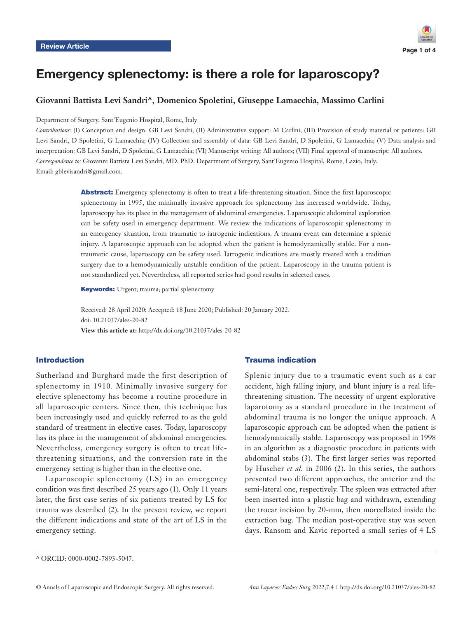

# Emergency splenectomy: is there a role for laparoscopy?

# **Giovanni Battista Levi Sandri^, Domenico Spoletini, Giuseppe Lamacchia, Massimo Carlini**

Department of Surgery, Sant'Eugenio Hospital, Rome, Italy

*Contributions:* (I) Conception and design: GB Levi Sandri; (II) Administrative support: M Carlini; (III) Provision of study material or patients: GB Levi Sandri, D Spoletini, G Lamacchia; (IV) Collection and assembly of data: GB Levi Sandri, D Spoletini, G Lamacchia; (V) Data analysis and interpretation: GB Levi Sandri, D Spoletini, G Lamacchia; (VI) Manuscript writing: All authors; (VII) Final approval of manuscript: All authors. *Correspondence to:* Giovanni Battista Levi Sandri, MD, PhD. Department of Surgery, Sant'Eugenio Hospital, Rome, Lazio, Italy. Email: gblevisandri@gmail.com.

> Abstract: Emergency splenectomy is often to treat a life-threatening situation. Since the first laparoscopic splenectomy in 1995, the minimally invasive approach for splenectomy has increased worldwide. Today, laparoscopy has its place in the management of abdominal emergencies. Laparoscopic abdominal exploration can be safety used in emergency department. We review the indications of laparoscopic splenectomy in an emergency situation, from traumatic to iatrogenic indications. A trauma event can determine a splenic injury. A laparoscopic approach can be adopted when the patient is hemodynamically stable. For a nontraumatic cause, laparoscopy can be safety used. Iatrogenic indications are mostly treated with a tradition surgery due to a hemodynamically unstable condition of the patient. Laparoscopy in the trauma patient is not standardized yet. Nevertheless, all reported series had good results in selected cases.

Keywords: Urgent; trauma; partial splenectomy

Received: 28 April 2020; Accepted: 18 June 2020; Published: 20 January 2022. doi: 10.21037/ales-20-82 **View this article at:** http://dx.doi.org/10.21037/ales-20-82

# Introduction

Sutherland and Burghard made the first description of splenectomy in 1910. Minimally invasive surgery for elective splenectomy has become a routine procedure in all laparoscopic centers. Since then, this technique has been increasingly used and quickly referred to as the gold standard of treatment in elective cases. Today, laparoscopy has its place in the management of abdominal emergencies. Nevertheless, emergency surgery is often to treat lifethreatening situations, and the conversion rate in the emergency setting is higher than in the elective one.

Laparoscopic splenectomy (LS) in an emergency condition was first described 25 years ago (1). Only 11 years later, the first case series of six patients treated by LS for trauma was described (2). In the present review, we report the different indications and state of the art of LS in the emergency setting.

# Trauma indication

Splenic injury due to a traumatic event such as a car accident, high falling injury, and blunt injury is a real lifethreatening situation. The necessity of urgent explorative laparotomy as a standard procedure in the treatment of abdominal trauma is no longer the unique approach. A laparoscopic approach can be adopted when the patient is hemodynamically stable. Laparoscopy was proposed in 1998 in an algorithm as a diagnostic procedure in patients with abdominal stabs (3). The first larger series was reported by Huscher *et al.* in 2006 (2). In this series, the authors presented two different approaches, the anterior and the semi-lateral one, respectively. The spleen was extracted after been inserted into a plastic bag and withdrawn, extending the trocar incision by 20-mm, then morcellated inside the extraction bag. The median post-operative stay was seven days. Ransom and Kavic reported a small series of 4 LS

<sup>^</sup> ORCID: 0000-0002-7893-5047.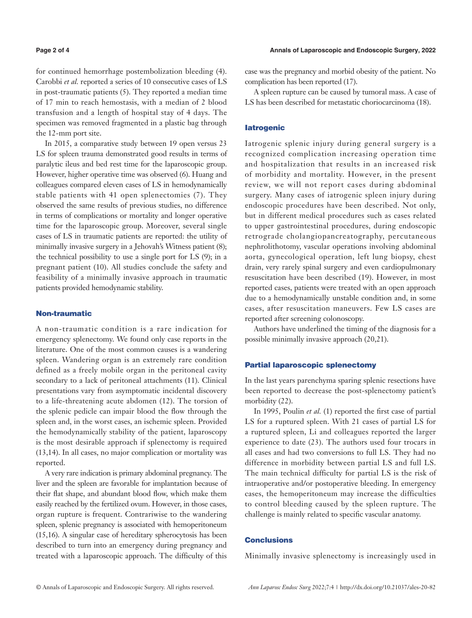for continued hemorrhage postembolization bleeding (4). Carobbi *et al.* reported a series of 10 consecutive cases of LS in post-traumatic patients (5). They reported a median time of 17 min to reach hemostasis, with a median of 2 blood transfusion and a length of hospital stay of 4 days. The specimen was removed fragmented in a plastic bag through the 12-mm port site.

In 2015, a comparative study between 19 open versus 23 LS for spleen trauma demonstrated good results in terms of paralytic ileus and bed rest time for the laparoscopic group. However, higher operative time was observed (6). Huang and colleagues compared eleven cases of LS in hemodynamically stable patients with 41 open splenectomies (7). They observed the same results of previous studies, no difference in terms of complications or mortality and longer operative time for the laparoscopic group. Moreover, several single cases of LS in traumatic patients are reported: the utility of minimally invasive surgery in a Jehovah's Witness patient (8); the technical possibility to use a single port for LS (9); in a pregnant patient (10). All studies conclude the safety and feasibility of a minimally invasive approach in traumatic patients provided hemodynamic stability.

# Non-traumatic

A non-traumatic condition is a rare indication for emergency splenectomy. We found only case reports in the literature. One of the most common causes is a wandering spleen. Wandering organ is an extremely rare condition defined as a freely mobile organ in the peritoneal cavity secondary to a lack of peritoneal attachments (11). Clinical presentations vary from asymptomatic incidental discovery to a life-threatening acute abdomen (12). The torsion of the splenic pedicle can impair blood the flow through the spleen and, in the worst cases, an ischemic spleen. Provided the hemodynamically stability of the patient, laparoscopy is the most desirable approach if splenectomy is required (13,14). In all cases, no major complication or mortality was reported.

A very rare indication is primary abdominal pregnancy. The liver and the spleen are favorable for implantation because of their flat shape, and abundant blood flow, which make them easily reached by the fertilized ovum. However, in those cases, organ rupture is frequent. Contrariwise to the wandering spleen, splenic pregnancy is associated with hemoperitoneum (15,16). A singular case of hereditary spherocytosis has been described to turn into an emergency during pregnancy and treated with a laparoscopic approach. The difficulty of this

case was the pregnancy and morbid obesity of the patient. No complication has been reported (17).

A spleen rupture can be caused by tumoral mass. A case of LS has been described for metastatic choriocarcinoma (18).

# **latrogenic**

Iatrogenic splenic injury during general surgery is a recognized complication increasing operation time and hospitalization that results in an increased risk of morbidity and mortality. However, in the present review, we will not report cases during abdominal surgery. Many cases of iatrogenic spleen injury during endoscopic procedures have been described. Not only, but in different medical procedures such as cases related to upper gastrointestinal procedures, during endoscopic retrograde cholangiopancreatography, percutaneous nephrolithotomy, vascular operations involving abdominal aorta, gynecological operation, left lung biopsy, chest drain, very rarely spinal surgery and even cardiopulmonary resuscitation have been described (19). However, in most reported cases, patients were treated with an open approach due to a hemodynamically unstable condition and, in some cases, after resuscitation maneuvers. Few LS cases are reported after screening colonoscopy.

Authors have underlined the timing of the diagnosis for a possible minimally invasive approach (20,21).

#### Partial laparoscopic splenectomy

In the last years parenchyma sparing splenic resections have been reported to decrease the post-splenectomy patient's morbidity (22).

In 1995, Poulin *et al.* (1) reported the first case of partial LS for a ruptured spleen. With 21 cases of partial LS for a ruptured spleen, Li and colleagues reported the larger experience to date (23). The authors used four trocars in all cases and had two conversions to full LS. They had no difference in morbidity between partial LS and full LS. The main technical difficulty for partial LS is the risk of intraoperative and/or postoperative bleeding. In emergency cases, the hemoperitoneum may increase the difficulties to control bleeding caused by the spleen rupture. The challenge is mainly related to specific vascular anatomy.

#### **Conclusions**

Minimally invasive splenectomy is increasingly used in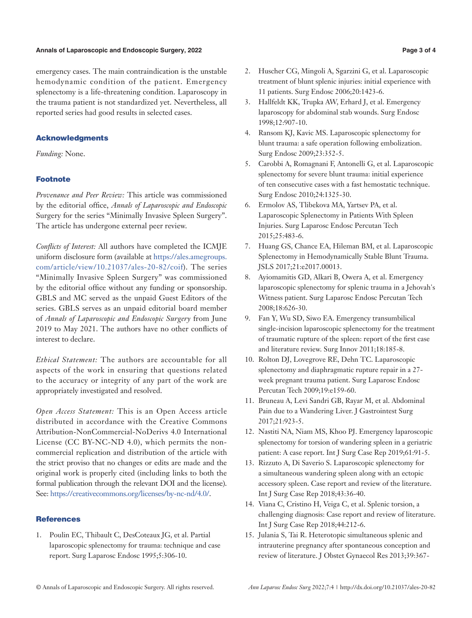#### **Annals of Laparoscopic and Endoscopic Surgery, 2022 Page 3 of 4**

emergency cases. The main contraindication is the unstable hemodynamic condition of the patient. Emergency splenectomy is a life-threatening condition. Laparoscopy in the trauma patient is not standardized yet. Nevertheless, all reported series had good results in selected cases.

### Acknowledgments

*Funding:* None.

### **Footnote**

*Provenance and Peer Review:* This article was commissioned by the editorial office, *Annals of Laparoscopic and Endoscopic* Surgery for the series "Minimally Invasive Spleen Surgery". The article has undergone external peer review.

*Conflicts of Interest:* All authors have completed the ICMJE uniform disclosure form (available at [https://ales.amegroups.](https://ales.amegroups.com/article/view/10.21037/ales-20-82/coif) [com/article/view/10.21037/ales-20-82/coif\)](https://ales.amegroups.com/article/view/10.21037/ales-20-82/coif). The series "Minimally Invasive Spleen Surgery" was commissioned by the editorial office without any funding or sponsorship. GBLS and MC served as the unpaid Guest Editors of the series. GBLS serves as an unpaid editorial board member of *Annals of Laparoscopic and Endoscopic Surgery* from June 2019 to May 2021. The authors have no other conflicts of interest to declare.

*Ethical Statement:* The authors are accountable for all aspects of the work in ensuring that questions related to the accuracy or integrity of any part of the work are appropriately investigated and resolved.

*Open Access Statement:* This is an Open Access article distributed in accordance with the Creative Commons Attribution-NonCommercial-NoDerivs 4.0 International License (CC BY-NC-ND 4.0), which permits the noncommercial replication and distribution of the article with the strict proviso that no changes or edits are made and the original work is properly cited (including links to both the formal publication through the relevant DOI and the license). See: [https://creativecommons.org/licenses/by-nc-nd/4.0/.](https://creativecommons.org/licenses/by-nc-nd/4.0/)

#### **References**

1. Poulin EC, Thibault C, DesCoteaux JG, et al. Partial laparoscopic splenectomy for trauma: technique and case report. Surg Laparosc Endosc 1995;5:306-10.

- 2. Huscher CG, Mingoli A, Sgarzini G, et al. Laparoscopic treatment of blunt splenic injuries: initial experience with 11 patients. Surg Endosc 2006;20:1423-6.
- 3. Hallfeldt KK, Trupka AW, Erhard J, et al. Emergency laparoscopy for abdominal stab wounds. Surg Endosc 1998;12:907-10.
- 4. Ransom KJ, Kavic MS. Laparoscopic splenectomy for blunt trauma: a safe operation following embolization. Surg Endosc 2009;23:352-5.
- 5. Carobbi A, Romagnani F, Antonelli G, et al. Laparoscopic splenectomy for severe blunt trauma: initial experience of ten consecutive cases with a fast hemostatic technique. Surg Endosc 2010;24:1325-30.
- 6. Ermolov AS, Tlibekova MA, Yartsev PA, et al. Laparoscopic Splenectomy in Patients With Spleen Injuries. Surg Laparosc Endosc Percutan Tech 2015;25:483-6.
- 7. Huang GS, Chance EA, Hileman BM, et al. Laparoscopic Splenectomy in Hemodynamically Stable Blunt Trauma. JSLS 2017;21:e2017.00013.
- 8. Ayiomamitis GD, Alkari B, Owera A, et al. Emergency laparoscopic splenectomy for splenic trauma in a Jehovah's Witness patient. Surg Laparosc Endosc Percutan Tech 2008;18:626-30.
- 9. Fan Y, Wu SD, Siwo EA. Emergency transumbilical single-incision laparoscopic splenectomy for the treatment of traumatic rupture of the spleen: report of the first case and literature review. Surg Innov 2011;18:185-8.
- 10. Rolton DJ, Lovegrove RE, Dehn TC. Laparoscopic splenectomy and diaphragmatic rupture repair in a 27 week pregnant trauma patient. Surg Laparosc Endosc Percutan Tech 2009;19:e159-60.
- 11. Bruneau A, Levi Sandri GB, Rayar M, et al. Abdominal Pain due to a Wandering Liver. J Gastrointest Surg 2017;21:923-5.
- 12. Nastiti NA, Niam MS, Khoo PJ. Emergency laparoscopic splenectomy for torsion of wandering spleen in a geriatric patient: A case report. Int J Surg Case Rep 2019;61:91-5.
- 13. Rizzuto A, Di Saverio S. Laparoscopic splenectomy for a simultaneous wandering spleen along with an ectopic accessory spleen. Case report and review of the literature. Int J Surg Case Rep 2018;43:36-40.
- 14. Viana C, Cristino H, Veiga C, et al. Splenic torsion, a challenging diagnosis: Case report and review of literature. Int J Surg Case Rep 2018;44:212-6.
- 15. Julania S, Tai R. Heterotopic simultaneous splenic and intrauterine pregnancy after spontaneous conception and review of literature. J Obstet Gynaecol Res 2013;39:367-